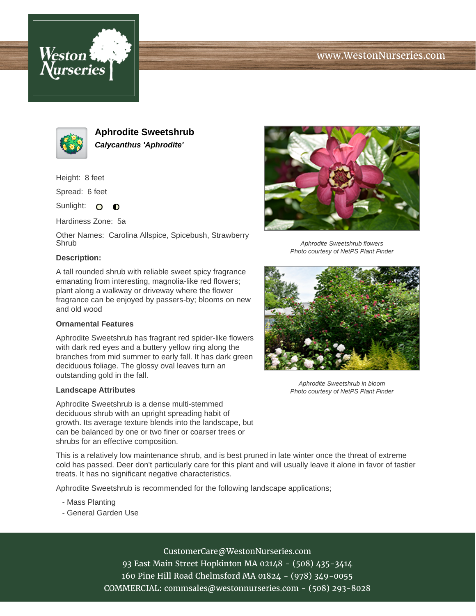





**Aphrodite Sweetshrub Calycanthus 'Aphrodite'**

Height: 8 feet

Spread: 6 feet

Sunlight: O  $\bullet$ 

Hardiness Zone: 5a

Other Names: Carolina Allspice, Spicebush, Strawberry **Shrub** 

## **Description:**

A tall rounded shrub with reliable sweet spicy fragrance emanating from interesting, magnolia-like red flowers; plant along a walkway or driveway where the flower fragrance can be enjoyed by passers-by; blooms on new and old wood

## **Ornamental Features**

Aphrodite Sweetshrub has fragrant red spider-like flowers with dark red eyes and a buttery yellow ring along the branches from mid summer to early fall. It has dark green deciduous foliage. The glossy oval leaves turn an outstanding gold in the fall.

#### **Landscape Attributes**

Aphrodite Sweetshrub is a dense multi-stemmed deciduous shrub with an upright spreading habit of growth. Its average texture blends into the landscape, but can be balanced by one or two finer or coarser trees or shrubs for an effective composition.

This is a relatively low maintenance shrub, and is best pruned in late winter once the threat of extreme cold has passed. Deer don't particularly care for this plant and will usually leave it alone in favor of tastier treats. It has no significant negative characteristics.

Aphrodite Sweetshrub is recommended for the following landscape applications;

- Mass Planting
- General Garden Use



Aphrodite Sweetshrub flowers Photo courtesy of NetPS Plant Finder



Aphrodite Sweetshrub in bloom Photo courtesy of NetPS Plant Finder

93 East Main Street Hopkinton MA 02148 - (508) 435-3414 160 Pine Hill Road Chelmsford MA 01824 - (978) 349-0055 COMMERCIAL: commsales@westonnurseries.com - (508) 293-8028

## CustomerCare@WestonNurseries.com